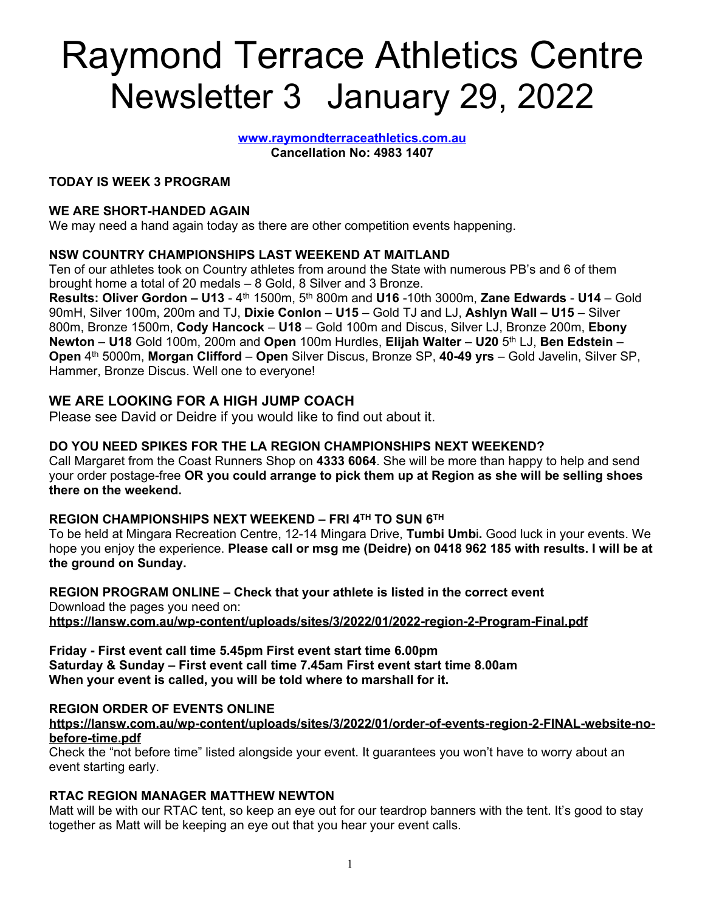# Raymond Terrace Athletics Centre Newsletter 3 January 29, 2022

**[www.raymondterraceathletics.com.au](http://www.raymondterraceathletics.com.au) Cancellation No: 4983 1407**

## **TODAY IS WEEK 3 PROGRAM**

#### **WE ARE SHORT-HANDED AGAIN**

We may need a hand again today as there are other competition events happening.

## **NSW COUNTRY CHAMPIONSHIPS LAST WEEKEND AT MAITLAND**

Ten of our athletes took on Country athletes from around the State with numerous PB's and 6 of them brought home a total of 20 medals – 8 Gold, 8 Silver and 3 Bronze.

**Results: Oliver Gordon – U13** - 4 th 1500m, 5 th 800m and **U16** -10th 3000m, **Zane Edwards** - **U14** – Gold 90mH, Silver 100m, 200m and TJ, **Dixie Conlon** – **U15** – Gold TJ and LJ, **Ashlyn Wall – U15** – Silver 800m, Bronze 1500m, **Cody Hancock** – **U18** – Gold 100m and Discus, Silver LJ, Bronze 200m, **Ebony Newton** – **U18** Gold 100m, 200m and **Open** 100m Hurdles, **Elijah Walter** – **U20** 5 th LJ, **Ben Edstein** – **Open** 4 th 5000m, **Morgan Clifford** – **Open** Silver Discus, Bronze SP, **40-49 yrs** – Gold Javelin, Silver SP, Hammer, Bronze Discus. Well one to everyone!

# **WE ARE LOOKING FOR A HIGH JUMP COACH**

Please see David or Deidre if you would like to find out about it.

### **DO YOU NEED SPIKES FOR THE LA REGION CHAMPIONSHIPS NEXT WEEKEND?**

Call Margaret from the Coast Runners Shop on **4333 6064**. She will be more than happy to help and send your order postage-free **OR you could arrange to pick them up at Region as she will be selling shoes there on the weekend.**

# **REGION CHAMPIONSHIPS NEXT WEEKEND – FRI 4 TH TO SUN 6 TH**

To be held at Mingara Recreation Centre, 12-14 Mingara Drive, **Tumbi Umb**i**.** Good luck in your events. We hope you enjoy the experience. **Please call or msg me (Deidre) on 0418 962 185 with results. I will be at the ground on Sunday.**

**REGION PROGRAM ONLINE – Check that your athlete is listed in the correct event** Download the pages you need on: **<https://lansw.com.au/wp-content/uploads/sites/3/2022/01/2022-region-2-Program-Final.pdf>**

**Friday - First event call time 5.45pm First event start time 6.00pm Saturday & Sunday – First event call time 7.45am First event start time 8.00am When your event is called, you will be told where to marshall for it.**

#### **REGION ORDER OF EVENTS ONLINE**

**[https://lansw.com.au/wp-content/uploads/sites/3/2022/01/order-of-events-region-2-FINAL-website-no](https://lansw.com.au/wp-content/uploads/sites/3/2022/01/order-of-events-region-2-FINAL-website-no-before-time.pdf)[before-time.pdf](https://lansw.com.au/wp-content/uploads/sites/3/2022/01/order-of-events-region-2-FINAL-website-no-before-time.pdf)**

Check the "not before time" listed alongside your event. It guarantees you won't have to worry about an event starting early.

#### **RTAC REGION MANAGER MATTHEW NEWTON**

Matt will be with our RTAC tent, so keep an eye out for our teardrop banners with the tent. It's good to stay together as Matt will be keeping an eye out that you hear your event calls.